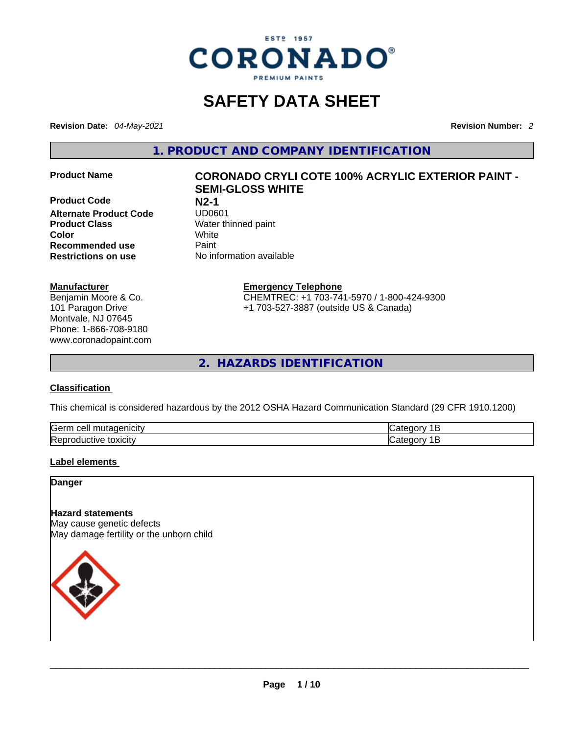

# **SAFETY DATA SHEET**

**Revision Date:** *04-May-2021* **Revision Number:** *2*

**1. PRODUCT AND COMPANY IDENTIFICATION** 

**Product Code N2-1 Alternate Product Code**<br>Product Class **Color** White **Recommended use** Paint<br> **Restrictions on use** No inf

### **Manufacturer**

Benjamin Moore & Co. 101 Paragon Drive Montvale, NJ 07645 Phone: 1-866-708-9180 www.coronadopaint.com

#### **Product Name CORONADO CRYLI COTE 100% ACRYLIC EXTERIOR PAINT - SEMI-GLOSS WHITE**

**Water thinned paint Restrictions on use** No information available

> **Emergency Telephone** CHEMTREC: +1 703-741-5970 / 1-800-424-9300 +1 703-527-3887 (outside US & Canada)

**2. HAZARDS IDENTIFICATION** 

#### **Classification**

This chemical is considered hazardous by the 2012 OSHA Hazard Communication Standard (29 CFR 1910.1200)

| ∽<br>.<br>lGerm<br>cell<br><br>micity<br>пшаое | 10 H  |
|------------------------------------------------|-------|
| Repr<br>toxicity<br>roquctive                  | 16 FF |

#### **Label elements**

**Danger** 

#### **Hazard statements**

May cause genetic defects May damage fertility or the unborn child

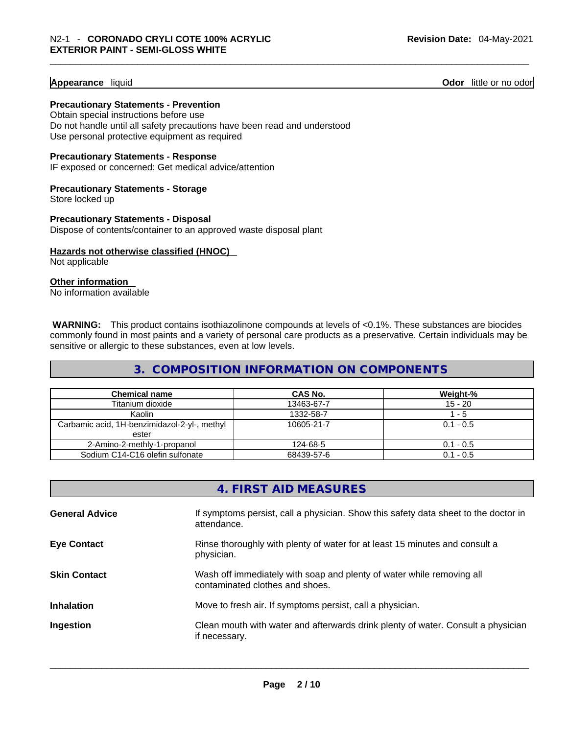**Appearance** liquid **Odor 11** and **Odor 11** and **Odor 11** and **Odor 11** and **Odor** 11 and **Odor** 11 and **Odor** 11 and **Odor** 11 and **Odor** 11 and **Odor** 11 and **Odor** 11 and **Odor** 11 and **Odor** 11 and **Odor** 11 and **Odor** 

**Precautionary Statements - Prevention** Obtain special instructions before use

Do not handle until all safety precautions have been read and understood Use personal protective equipment as required

**Precautionary Statements - Response**

IF exposed or concerned: Get medical advice/attention

**Precautionary Statements - Storage** Store locked up

**Precautionary Statements - Disposal** Dispose of contents/container to an approved waste disposal plant

**Hazards not otherwise classified (HNOC)**  Not applicable

**Other information** 

No information available

**WARNING:** This product contains isothiazolinone compounds at levels of <0.1%. These substances are biocides commonly found in most paints and a variety of personal care products as a preservative. Certain individuals may be sensitive or allergic to these substances, even at low levels.

#### **3. COMPOSITION INFORMATION ON COMPONENTS**

| <b>Chemical name</b>                         | <b>CAS No.</b> | Weight-%    |
|----------------------------------------------|----------------|-------------|
| Titanium dioxide                             | 13463-67-7     | $15 - 20$   |
| Kaolin                                       | 1332-58-7      | 1 - 5       |
| Carbamic acid, 1H-benzimidazol-2-yl-, methyl | 10605-21-7     | $0.1 - 0.5$ |
| ester                                        |                |             |
| 2-Amino-2-methly-1-propanol                  | 124-68-5       | $0.1 - 0.5$ |
| Sodium C14-C16 olefin sulfonate              | 68439-57-6     | $0.1 - 0.5$ |

| If symptoms persist, call a physician. Show this safety data sheet to the doctor in<br><b>General Advice</b><br>attendance.<br>Rinse thoroughly with plenty of water for at least 15 minutes and consult a<br><b>Eye Contact</b><br>physician. |
|------------------------------------------------------------------------------------------------------------------------------------------------------------------------------------------------------------------------------------------------|
|                                                                                                                                                                                                                                                |
|                                                                                                                                                                                                                                                |
| <b>Skin Contact</b><br>Wash off immediately with soap and plenty of water while removing all<br>contaminated clothes and shoes.                                                                                                                |
| Move to fresh air. If symptoms persist, call a physician.<br><b>Inhalation</b>                                                                                                                                                                 |
| Clean mouth with water and afterwards drink plenty of water. Consult a physician<br>Ingestion<br>if necessary.                                                                                                                                 |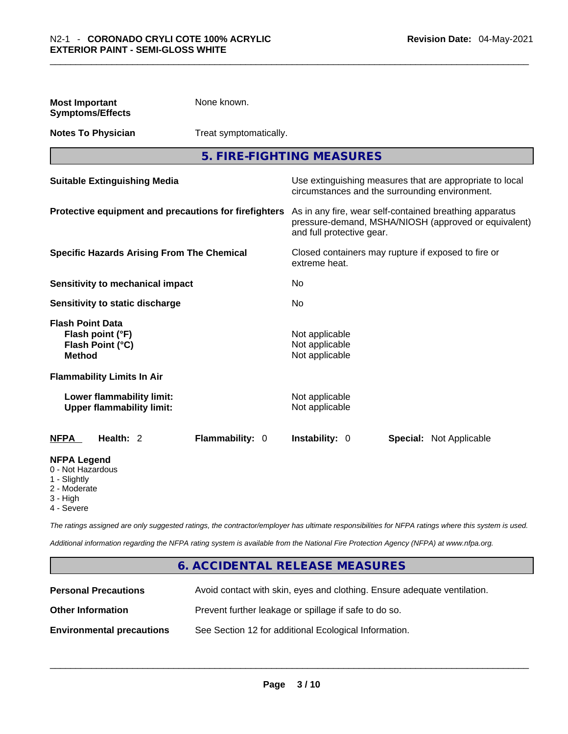| <b>Most Important</b><br><b>Symptoms/Effects</b>                                        |                                                               | None known.                                                                                                                                  |                                                                      |  |                                                          |
|-----------------------------------------------------------------------------------------|---------------------------------------------------------------|----------------------------------------------------------------------------------------------------------------------------------------------|----------------------------------------------------------------------|--|----------------------------------------------------------|
| <b>Notes To Physician</b>                                                               |                                                               | Treat symptomatically.                                                                                                                       |                                                                      |  |                                                          |
|                                                                                         |                                                               | 5. FIRE-FIGHTING MEASURES                                                                                                                    |                                                                      |  |                                                          |
|                                                                                         | <b>Suitable Extinguishing Media</b>                           |                                                                                                                                              | circumstances and the surrounding environment.                       |  | Use extinguishing measures that are appropriate to local |
| Protective equipment and precautions for firefighters                                   |                                                               | As in any fire, wear self-contained breathing apparatus<br>pressure-demand, MSHA/NIOSH (approved or equivalent)<br>and full protective gear. |                                                                      |  |                                                          |
|                                                                                         | <b>Specific Hazards Arising From The Chemical</b>             |                                                                                                                                              | Closed containers may rupture if exposed to fire or<br>extreme heat. |  |                                                          |
|                                                                                         | Sensitivity to mechanical impact                              |                                                                                                                                              | No                                                                   |  |                                                          |
|                                                                                         | <b>Sensitivity to static discharge</b>                        |                                                                                                                                              | No.                                                                  |  |                                                          |
| <b>Flash Point Data</b><br>Flash point (°F)<br>Flash Point (°C)<br><b>Method</b>        |                                                               |                                                                                                                                              | Not applicable<br>Not applicable<br>Not applicable                   |  |                                                          |
|                                                                                         | <b>Flammability Limits In Air</b>                             |                                                                                                                                              |                                                                      |  |                                                          |
|                                                                                         | Lower flammability limit:<br><b>Upper flammability limit:</b> |                                                                                                                                              | Not applicable<br>Not applicable                                     |  |                                                          |
| <b>NFPA</b>                                                                             | Health: 2                                                     | Flammability: 0                                                                                                                              | <b>Instability: 0</b>                                                |  | <b>Special: Not Applicable</b>                           |
| <b>NFPA Legend</b><br>0 - Not Hazardous<br>1 - Slightly<br>2 - Moderate<br>لما بم 11 ال |                                                               |                                                                                                                                              |                                                                      |  |                                                          |

- 3 High
- 4 Severe

*The ratings assigned are only suggested ratings, the contractor/employer has ultimate responsibilities for NFPA ratings where this system is used.* 

*Additional information regarding the NFPA rating system is available from the National Fire Protection Agency (NFPA) at www.nfpa.org.* 

#### **6. ACCIDENTAL RELEASE MEASURES**

| <b>Personal Precautions</b>      | Avoid contact with skin, eyes and clothing. Ensure adequate ventilation. |
|----------------------------------|--------------------------------------------------------------------------|
| <b>Other Information</b>         | Prevent further leakage or spillage if safe to do so.                    |
| <b>Environmental precautions</b> | See Section 12 for additional Ecological Information.                    |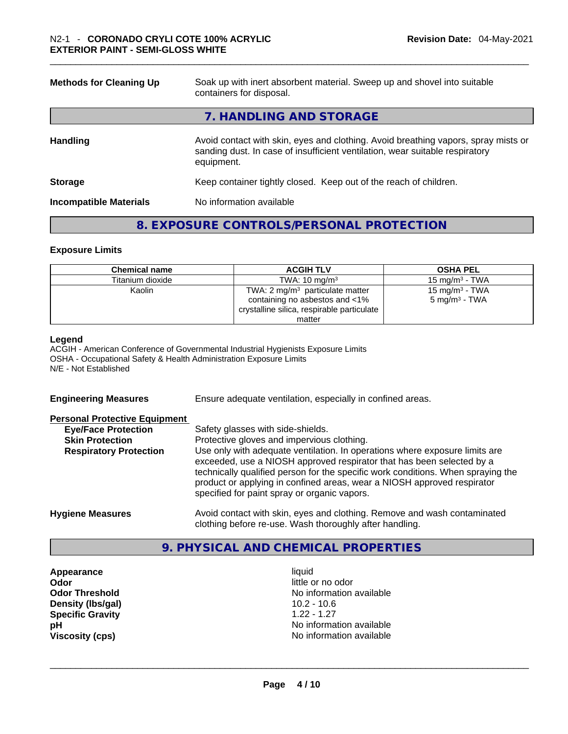| <b>Methods for Cleaning Up</b> | Soak up with inert absorbent material. Sweep up and shovel into suitable<br>containers for disposal.                                                                             |
|--------------------------------|----------------------------------------------------------------------------------------------------------------------------------------------------------------------------------|
|                                | 7. HANDLING AND STORAGE                                                                                                                                                          |
| <b>Handling</b>                | Avoid contact with skin, eyes and clothing. Avoid breathing vapors, spray mists or<br>sanding dust. In case of insufficient ventilation, wear suitable respiratory<br>equipment. |
| <b>Storage</b>                 | Keep container tightly closed. Keep out of the reach of children.                                                                                                                |
| <b>Incompatible Materials</b>  | No information available                                                                                                                                                         |

#### **8. EXPOSURE CONTROLS/PERSONAL PROTECTION**

#### **Exposure Limits**

| <b>Chemical name</b> | <b>ACGIH TLV</b>                                                                                                           | <b>OSHA PEL</b>                                        |  |
|----------------------|----------------------------------------------------------------------------------------------------------------------------|--------------------------------------------------------|--|
| Titanium dioxide     | TWA: $10 \text{ mg/m}^3$                                                                                                   | 15 mg/m $3$ - TWA                                      |  |
| Kaolin               | TWA: $2 \text{ mg/m}^3$ particulate matter<br>containing no asbestos and <1%<br>crystalline silica, respirable particulate | 15 mg/m <sup>3</sup> - TWA<br>$5 \text{ mg/m}^3$ - TWA |  |
|                      | matter                                                                                                                     |                                                        |  |

#### **Legend**

ACGIH - American Conference of Governmental Industrial Hygienists Exposure Limits OSHA - Occupational Safety & Health Administration Exposure Limits N/E - Not Established

**Engineering Measures** Ensure adequate ventilation, especially in confined areas.

#### **Personal Protective Equipment**

| <b>Eye/Face Protection</b>    | Safety glasses with side-shields.                                                                                                                                                                                                                                                                                                                                   |
|-------------------------------|---------------------------------------------------------------------------------------------------------------------------------------------------------------------------------------------------------------------------------------------------------------------------------------------------------------------------------------------------------------------|
| <b>Skin Protection</b>        | Protective gloves and impervious clothing.                                                                                                                                                                                                                                                                                                                          |
| <b>Respiratory Protection</b> | Use only with adequate ventilation. In operations where exposure limits are<br>exceeded, use a NIOSH approved respirator that has been selected by a<br>technically qualified person for the specific work conditions. When spraying the<br>product or applying in confined areas, wear a NIOSH approved respirator<br>specified for paint spray or organic vapors. |
| <b>Hygiene Measures</b>       | Avoid contact with skin, eyes and clothing. Remove and wash contaminated                                                                                                                                                                                                                                                                                            |

clothing before re-use. Wash thoroughly after handling.

#### **9. PHYSICAL AND CHEMICAL PROPERTIES**

**Appearance** liquid **Odor**<br> **Odor Threshold**<br> **Odor Threshold**<br> **CODOR**<br> **CODOR**<br> **CODOR**<br> **CODOR**<br> **CODOR**<br> **CODOR**<br> **CODOR**<br> **CODOR**<br> **CODOR Density** (Ibs/gal) **Specific Gravity** 1.22 - 1.27

No information available<br>10.2 - 10.6 **pH** No information available **Viscosity (cps)** No information available \_\_\_\_\_\_\_\_\_\_\_\_\_\_\_\_\_\_\_\_\_\_\_\_\_\_\_\_\_\_\_\_\_\_\_\_\_\_\_\_\_\_\_\_\_\_\_\_\_\_\_\_\_\_\_\_\_\_\_\_\_\_\_\_\_\_\_\_\_\_\_\_\_\_\_\_\_\_\_\_\_\_\_\_\_\_\_\_\_\_\_\_\_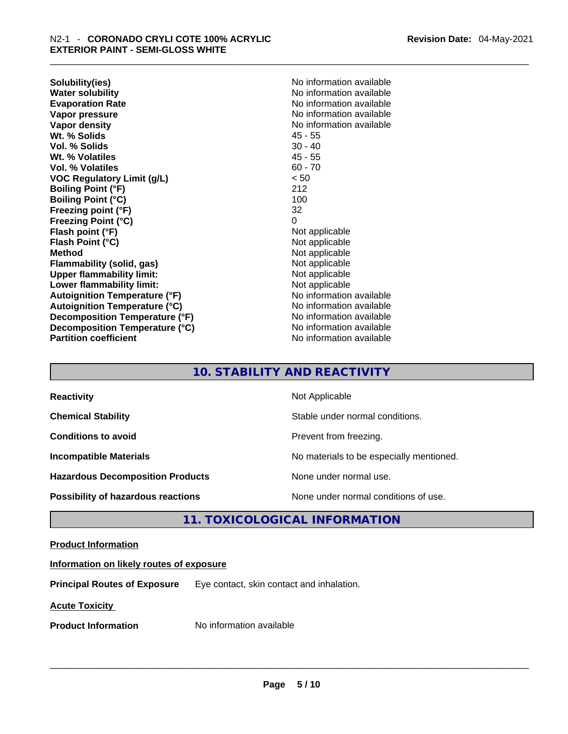**Solubility(ies)** No information available **Water solubility 19 and 19 and 19 and 19 and 19 and 19 and 19 and 19 and 19 and 19 and 19 and 19 and 19 and 19 and 19 and 19 and 19 and 19 and 19 and 19 and 19 and 19 and 19 and 19 and 19 and 19 and 19 and 19 and 19 and 1 Vapor pressure**  No information available **Vapor pressure No information available Vapor density No information available No information available Wt. % Solids** 45 - 55 **Vol. % Solids Wt. % Volatiles** 45 - 55 **Vol. % Volatiles** 60 - 70 **VOC Regulatory Limit (g/L)** < 50 **Boiling Point (°F)** 212 **Boiling Point (°C) Freezing point (°F)** 32 **Freezing Point (°C)** 0 **Flash point (°F)** Not applicable **Flash Point (°C)** Not applicable **Method**<br> **Plammability (solid, gas)**<br> **Plammability (solid, gas)**<br> **Not** applicable **Flammability** (solid, gas) **Upper flammability limit:** Not applicable **Lower flammability limit:**<br> **Autoignition Temperature (°F)**<br>
Mo information available **Autoignition Temperature (°F) Autoignition Temperature (°C)** No information available **Decomposition Temperature (°F)** No information available **Decomposition Temperature (°C)** No information available **Partition coefficient** No information available

**Evaporation Rate** No information available

#### **10. STABILITY AND REACTIVITY**

| <b>Reactivity</b>                         | Not Applicable                           |
|-------------------------------------------|------------------------------------------|
| <b>Chemical Stability</b>                 | Stable under normal conditions.          |
| <b>Conditions to avoid</b>                | Prevent from freezing.                   |
| <b>Incompatible Materials</b>             | No materials to be especially mentioned. |
| <b>Hazardous Decomposition Products</b>   | None under normal use.                   |
| <b>Possibility of hazardous reactions</b> | None under normal conditions of use.     |

#### **11. TOXICOLOGICAL INFORMATION**

#### **Product Information**

#### **Information on likely routes of exposure**

**Principal Routes of Exposure** Eye contact, skin contact and inhalation.

**Acute Toxicity** 

**Product Information** Mo information available **and the set of the set of the set of the set of the set of the set of the set of the set of the set of the set of the set of the set of the set of the set of the set of the s**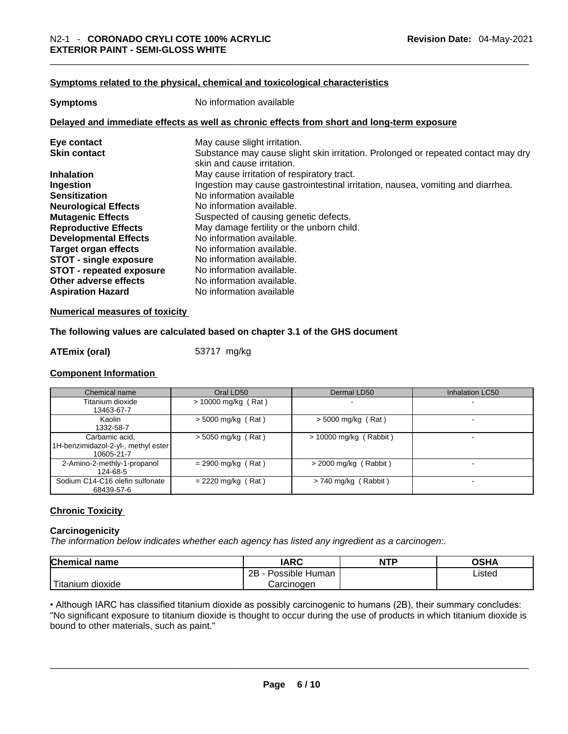#### **Symptoms related to the physical,chemical and toxicological characteristics**

| <b>Symptoms</b> | No information available                                                                   |
|-----------------|--------------------------------------------------------------------------------------------|
|                 | Delaved and immediate effects as well as chronic effects from short and long-term exposure |

| Eye contact                     | May cause slight irritation.                                                      |
|---------------------------------|-----------------------------------------------------------------------------------|
| <b>Skin contact</b>             | Substance may cause slight skin irritation. Prolonged or repeated contact may dry |
|                                 | skin and cause irritation.                                                        |
| <b>Inhalation</b>               | May cause irritation of respiratory tract.                                        |
| Ingestion                       | Ingestion may cause gastrointestinal irritation, nausea, vomiting and diarrhea.   |
| <b>Sensitization</b>            | No information available                                                          |
| <b>Neurological Effects</b>     | No information available.                                                         |
| <b>Mutagenic Effects</b>        | Suspected of causing genetic defects.                                             |
| <b>Reproductive Effects</b>     | May damage fertility or the unborn child.                                         |
| <b>Developmental Effects</b>    | No information available.                                                         |
| Target organ effects            | No information available.                                                         |
| <b>STOT - single exposure</b>   | No information available.                                                         |
| <b>STOT - repeated exposure</b> | No information available.                                                         |
| Other adverse effects           | No information available.                                                         |
| <b>Aspiration Hazard</b>        | No information available                                                          |

#### **Numerical measures of toxicity**

#### **The following values are calculated based on chapter 3.1 of the GHS document**

**ATEmix (oral)** 53717 mg/kg

#### **Component Information**

| Chemical name                                                       | Oral LD50             | Dermal LD50              | <b>Inhalation LC50</b>   |
|---------------------------------------------------------------------|-----------------------|--------------------------|--------------------------|
| Titanium dioxide<br>13463-67-7                                      | $> 10000$ mg/kg (Rat) | ۰                        | $\overline{\phantom{a}}$ |
| Kaolin<br>1332-58-7                                                 | $>$ 5000 mg/kg (Rat)  | $>$ 5000 mg/kg (Rat)     |                          |
| Carbamic acid,<br>1H-benzimidazol-2-yl-, methyl ester<br>10605-21-7 | $>$ 5050 mg/kg (Rat)  | $> 10000$ mg/kg (Rabbit) | $\overline{\phantom{a}}$ |
| 2-Amino-2-methly-1-propanol<br>124-68-5                             | $= 2900$ mg/kg (Rat)  | $>$ 2000 mg/kg (Rabbit)  |                          |
| Sodium C14-C16 olefin sulfonate<br>68439-57-6                       | $= 2220$ mg/kg (Rat)  | $> 740$ mg/kg (Rabbit)   |                          |

#### **Chronic Toxicity**

#### **Carcinogenicity**

*The information below indicates whether each agency has listed any ingredient as a carcinogen:.* 

| <b>Chemical name</b>  | IARC                 | <b>NTP</b> | OSHA   |
|-----------------------|----------------------|------------|--------|
|                       | 2B<br>Possible Human |            | Listed |
| Titanium J<br>dioxide | Carcinoɑen           |            |        |

• Although IARC has classified titanium dioxide as possibly carcinogenic to humans (2B), their summary concludes: "No significant exposure to titanium dioxide is thought to occur during the use of products in which titanium dioxide is<br>bound to other materials, such as paint." bound to other materials, such as paint." \_\_\_\_\_\_\_\_\_\_\_\_\_\_\_\_\_\_\_\_\_\_\_\_\_\_\_\_\_\_\_\_\_\_\_\_\_\_\_\_\_\_\_\_\_\_\_\_\_\_\_\_\_\_\_\_\_\_\_\_\_\_\_\_\_\_\_\_\_\_\_\_\_\_\_\_\_\_\_\_\_\_\_\_\_\_\_\_\_\_\_\_\_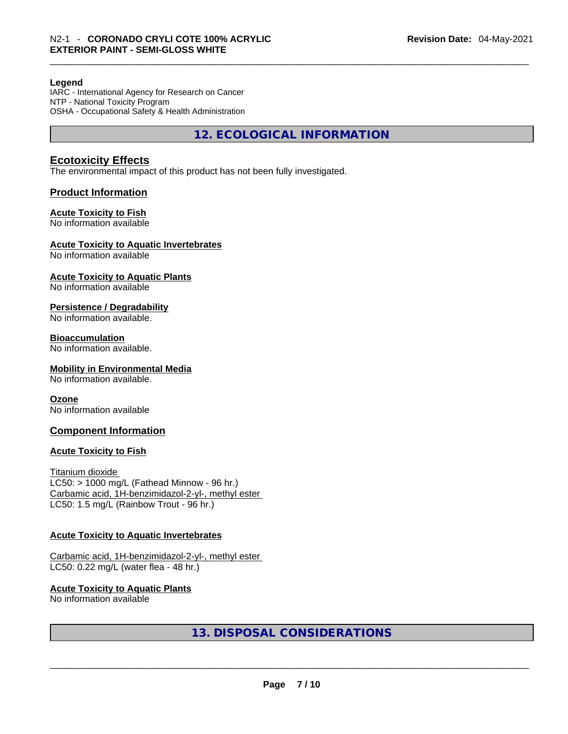#### **Legend**

IARC - International Agency for Research on Cancer NTP - National Toxicity Program OSHA - Occupational Safety & Health Administration

**12. ECOLOGICAL INFORMATION** 

#### **Ecotoxicity Effects**

The environmental impact of this product has not been fully investigated.

#### **Product Information**

#### **Acute Toxicity to Fish**

No information available

#### **Acute Toxicity to Aquatic Invertebrates**

No information available

#### **Acute Toxicity to Aquatic Plants**

No information available

#### **Persistence / Degradability**

No information available.

#### **Bioaccumulation**

No information available.

#### **Mobility in Environmental Media**

No information available.

#### **Ozone**

No information available

#### **Component Information**

#### **Acute Toxicity to Fish**

Titanium dioxide  $LC50:$  > 1000 mg/L (Fathead Minnow - 96 hr.) Carbamic acid, 1H-benzimidazol-2-yl-, methyl ester LC50: 1.5 mg/L (Rainbow Trout - 96 hr.)

#### **Acute Toxicity to Aquatic Invertebrates**

Carbamic acid, 1H-benzimidazol-2-yl-, methyl ester LC50: 0.22 mg/L (water flea - 48 hr.)

## **Acute Toxicity to Aquatic Plants**

# No information available \_\_\_\_\_\_\_\_\_\_\_\_\_\_\_\_\_\_\_\_\_\_\_\_\_\_\_\_\_\_\_\_\_\_\_\_\_\_\_\_\_\_\_\_\_\_\_\_\_\_\_\_\_\_\_\_\_\_\_\_\_\_\_\_\_\_\_\_\_\_\_\_\_\_\_\_\_\_\_\_\_\_\_\_\_\_\_\_\_\_\_\_\_ **13. DISPOSAL CONSIDERATIONS**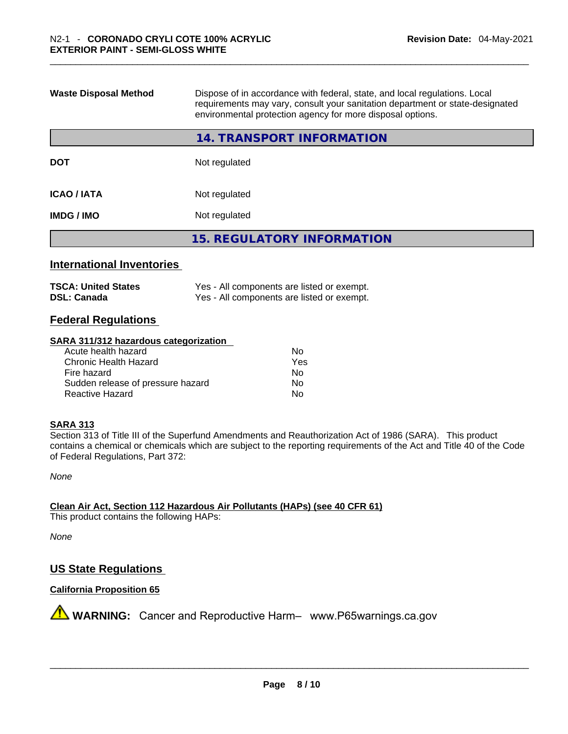| <b>Waste Disposal Method</b> | Dispose of in accordance with federal, state, and local regulations. Local<br>requirements may vary, consult your sanitation department or state-designated<br>environmental protection agency for more disposal options. |  |
|------------------------------|---------------------------------------------------------------------------------------------------------------------------------------------------------------------------------------------------------------------------|--|
|                              | 14. TRANSPORT INFORMATION                                                                                                                                                                                                 |  |
| <b>DOT</b>                   | Not regulated                                                                                                                                                                                                             |  |
| <b>ICAO/IATA</b>             | Not regulated                                                                                                                                                                                                             |  |
| <b>IMDG/IMO</b>              | Not regulated                                                                                                                                                                                                             |  |
|                              | 15. REGULATORY INFORMATION                                                                                                                                                                                                |  |
|                              |                                                                                                                                                                                                                           |  |

#### **International Inventories**

| <b>TSCA: United States</b> | Yes - All components are listed or exempt. |
|----------------------------|--------------------------------------------|
| <b>DSL: Canada</b>         | Yes - All components are listed or exempt. |

#### **Federal Regulations**

#### **SARA 311/312 hazardous categorization**

| Acute health hazard               | No  |  |
|-----------------------------------|-----|--|
| Chronic Health Hazard             | Yes |  |
| Fire hazard                       | Nο  |  |
| Sudden release of pressure hazard | Nο  |  |
| Reactive Hazard                   | Nο  |  |

#### **SARA 313**

Section 313 of Title III of the Superfund Amendments and Reauthorization Act of 1986 (SARA). This product contains a chemical or chemicals which are subject to the reporting requirements of the Act and Title 40 of the Code of Federal Regulations, Part 372:

*None*

**Clean Air Act,Section 112 Hazardous Air Pollutants (HAPs) (see 40 CFR 61)** This product contains the following HAPs:

*None*

#### **US State Regulations**

#### **California Proposition 65**

**AVIMARNING:** Cancer and Reproductive Harm– www.P65warnings.ca.gov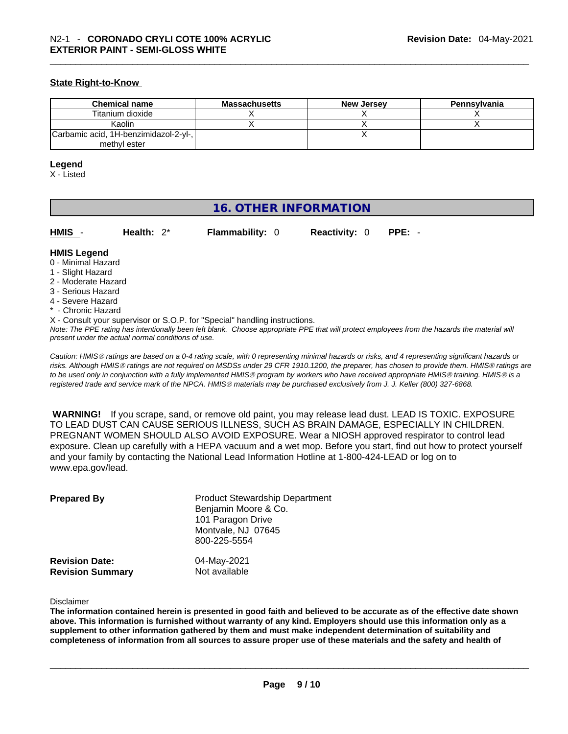#### **State Right-to-Know**

| <b>Chemical name</b>                  | Massachusetts | <b>New Jersey</b> | Pennsylvania |
|---------------------------------------|---------------|-------------------|--------------|
| Titanium dioxide                      |               |                   |              |
| Kaolin                                |               |                   |              |
| Carbamic acid, 1H-benzimidazol-2-yl-, |               |                   |              |
| methyl ester                          |               |                   |              |

#### **Legend**

X - Listed

#### **16. OTHER INFORMATION**

**HMIS** - **Health:** 2\* **Flammability:** 0 **Reactivity:** 0 **PPE:** -

#### **HMIS Legend**

- 0 Minimal Hazard
- 1 Slight Hazard
- 2 Moderate Hazard
- 3 Serious Hazard
- 4 Severe Hazard
- \* Chronic Hazard
- X Consult your supervisor or S.O.P. for "Special" handling instructions.

Note: The PPE rating has intentionally been left blank. Choose appropriate PPE that will protect employees from the hazards the material will *present under the actual normal conditions of use.* 

*Caution: HMISÒ ratings are based on a 0-4 rating scale, with 0 representing minimal hazards or risks, and 4 representing significant hazards or risks. Although HMISÒ ratings are not required on MSDSs under 29 CFR 1910.1200, the preparer, has chosen to provide them. HMISÒ ratings are to be used only in conjunction with a fully implemented HMISÒ program by workers who have received appropriate HMISÒ training. HMISÒ is a registered trade and service mark of the NPCA. HMISÒ materials may be purchased exclusively from J. J. Keller (800) 327-6868.* 

 **WARNING!** If you scrape, sand, or remove old paint, you may release lead dust. LEAD IS TOXIC. EXPOSURE TO LEAD DUST CAN CAUSE SERIOUS ILLNESS, SUCH AS BRAIN DAMAGE, ESPECIALLY IN CHILDREN. PREGNANT WOMEN SHOULD ALSO AVOID EXPOSURE.Wear a NIOSH approved respirator to control lead exposure. Clean up carefully with a HEPA vacuum and a wet mop. Before you start, find out how to protect yourself and your family by contacting the National Lead Information Hotline at 1-800-424-LEAD or log on to www.epa.gov/lead.

| <b>Prepared By</b>                               | <b>Product Stewardship Department</b><br>Benjamin Moore & Co.<br>101 Paragon Drive<br>Montvale, NJ 07645<br>800-225-5554 |  |
|--------------------------------------------------|--------------------------------------------------------------------------------------------------------------------------|--|
| <b>Revision Date:</b><br><b>Revision Summary</b> | 04-May-2021<br>Not available                                                                                             |  |

Disclaimer

The information contained herein is presented in good faith and believed to be accurate as of the effective date shown above. This information is furnished without warranty of any kind. Employers should use this information only as a **supplement to other information gathered by them and must make independent determination of suitability and** completeness of information from all sources to assure proper use of these materials and the safety and health of